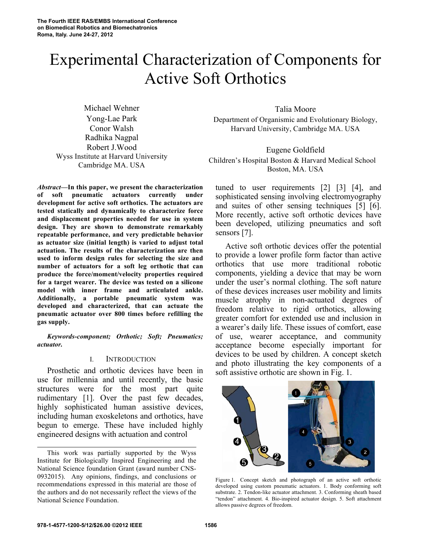# Experimental Characterization of Components for Active Soft Orthotics

Michael Wehner Yong-Lae Park Conor Walsh Radhika Nagpal Robert J.Wood Wyss Institute at Harvard University Cambridge MA. USA

*Abstract***—In this paper, we present the characterization of soft pneumatic actuators currently under development for active soft orthotics. The actuators are tested statically and dynamically to characterize force and displacement properties needed for use in system design. They are shown to demonstrate remarkably repeatable performance, and very predictable behavior as actuator size (initial length) is varied to adjust total actuation. The results of the characterization are then used to inform design rules for selecting the size and number of actuators for a soft leg orthotic that can produce the force/moment/velocity properties required for a target wearer. The device was tested on a silicone model with inner frame and articulated ankle. Additionally, a portable pneumatic system was developed and characterized, that can actuate the pneumatic actuator over 800 times before refilling the gas supply.**

*Keywords-component; Orthotic; Soft; Pneumatics; actuator.*

### I. INTRODUCTION

Prosthetic and orthotic devices have been in use for millennia and until recently, the basic structures were for the most part quite rudimentary [1]. Over the past few decades, highly sophisticated human assistive devices, including human exoskeletons and orthotics, have begun to emerge. These have included highly engineered designs with actuation and control

Talia Moore Department of Organismic and Evolutionary Biology, Harvard University, Cambridge MA. USA

Eugene Goldfield Children's Hospital Boston & Harvard Medical School Boston, MA. USA

tuned to user requirements [2] [3] [4], and sophisticated sensing involving electromyography and suites of other sensing techniques [5] [6]. More recently, active soft orthotic devices have been developed, utilizing pneumatics and soft sensors [7].

Active soft orthotic devices offer the potential to provide a lower profile form factor than active orthotics that use more traditional robotic components, yielding a device that may be worn under the user's normal clothing. The soft nature of these devices increases user mobility and limits muscle atrophy in non-actuated degrees of freedom relative to rigid orthotics, allowing greater comfort for extended use and inclusion in a wearer's daily life. These issues of comfort, ease of use, wearer acceptance, and community acceptance become especially important for devices to be used by children. A concept sketch and photo illustrating the key components of a soft assistive orthotic are shown in Fig. 1.



Figure 1. Concept sketch and photograph of an active soft orthotic developed using custom pneumatic actuators. 1. Body conforming soft substrate. 2. Tendon-like actuator attachment. 3. Conforming sheath based "tendon" attachment. 4. Bio-inspired actuator design. 5. Soft attachment allows passive degrees of freedom.

This work was partially supported by the Wyss Institute for Biologically Inspired Engineering and the National Science foundation Grant (award number CNS-0932015). Any opinions, findings, and conclusions or recommendations expressed in this material are those of the authors and do not necessarily reflect the views of the National Science Foundation.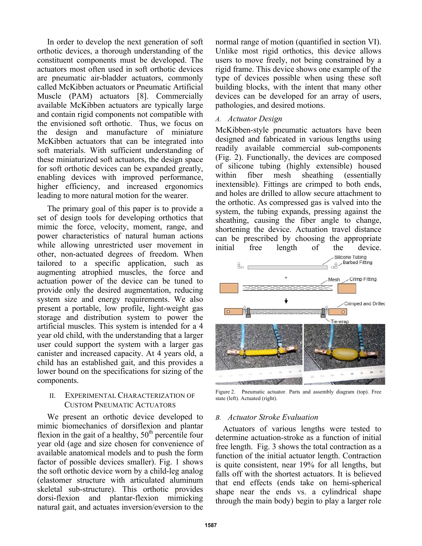In order to develop the next generation of soft orthotic devices, a thorough understanding of the constituent components must be developed. The actuators most often used in soft orthotic devices are pneumatic air-bladder actuators, commonly called McKibben actuators or Pneumatic Artificial Muscle (PAM) actuators [8]. Commercially available McKibben actuators are typically large and contain rigid components not compatible with the envisioned soft orthotic. Thus, we focus on the design and manufacture of miniature McKibben actuators that can be integrated into soft materials. With sufficient understanding of these miniaturized soft actuators, the design space for soft orthotic devices can be expanded greatly, enabling devices with improved performance, higher efficiency, and increased ergonomics leading to more natural motion for the wearer.

The primary goal of this paper is to provide a set of design tools for developing orthotics that mimic the force, velocity, moment, range, and power characteristics of natural human actions while allowing unrestricted user movement in other, non-actuated degrees of freedom. When tailored to a specific application, such as augmenting atrophied muscles, the force and actuation power of the device can be tuned to provide only the desired augmentation, reducing system size and energy requirements. We also present a portable, low profile, light-weight gas storage and distribution system to power the artificial muscles. This system is intended for a 4 year old child, with the understanding that a larger user could support the system with a larger gas canister and increased capacity. At 4 years old, a child has an established gait, and this provides a lower bound on the specifications for sizing of the components.

## II. EXPERIMENTAL CHARACTERIZATION OF CUSTOM PNEUMATIC ACTUATORS

We present an orthotic device developed to mimic biomechanics of dorsiflexion and plantar flexion in the gait of a healthy,  $50<sup>th</sup>$  percentile four year old (age and size chosen for convenience of available anatomical models and to push the form factor of possible devices smaller). Fig. 1 shows the soft orthotic device worn by a child-leg analog (elastomer structure with articulated aluminum skeletal sub-structure). This orthotic provides dorsi-flexion and plantar-flexion mimicking natural gait, and actuates inversion/eversion to the

normal range of motion (quantified in section VI). Unlike most rigid orthotics, this device allows users to move freely, not being constrained by a rigid frame. This device shows one example of the type of devices possible when using these soft building blocks, with the intent that many other devices can be developed for an array of users, pathologies, and desired motions.

# *A. Actuator Design*

McKibben-style pneumatic actuators have been designed and fabricated in various lengths using readily available commercial sub-components (Fig. 2). Functionally, the devices are composed of silicone tubing (highly extensible) housed within fiber mesh sheathing (essentially inextensible). Fittings are crimped to both ends, and holes are drilled to allow secure attachment to the orthotic. As compressed gas is valved into the system, the tubing expands, pressing against the sheathing, causing the fiber angle to change, shortening the device. Actuation travel distance can be prescribed by choosing the appropriate initial free length of the device.



Figure 2. Pneumatic actuator. Parts and assembly diagram (top). Free state (left). Actuated (right).

# *B. Actuator Stroke Evaluation*

Actuators of various lengths were tested to determine actuation-stroke as a function of initial free length. Fig. 3 shows the total contraction as a function of the initial actuator length. Contraction is quite consistent, near 19% for all lengths, but falls off with the shortest actuators. It is believed that end effects (ends take on hemi-spherical shape near the ends vs. a cylindrical shape through the main body) begin to play a larger role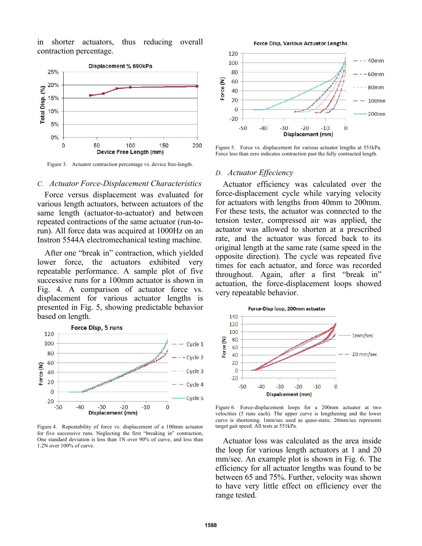in shorter actuators, thus reducing overall contraction percentage.



Figure 3. Actuator contraction percentage vs. device free-length.

#### *C. Actuator Force-Displacement Characteristics*

Force versus displacement was evaluated for various length actuators, between actuators of the same length (actuator-to-actuator) and between repeated contractions of the same actuator (run-torun). All force data was acquired at 1000Hz on an Instron 5544A electromechanical testing machine.

After one "break in" contraction, which yielded lower force, the actuators exhibited very repeatable performance. A sample plot of five successive runs for a 100mm actuator is shown in Fig. 4. A comparison of actuator force vs. displacement for various actuator lengths is presented in Fig. 5, showing predictable behavior based on length.



Figure 4. Repeatability of force vs. displacement of a 100mm actuator for five successive runs. Neglecting the first "breaking in" contraction, One standard deviation is less than 1N over 90% of curve, and less than 1.2N over 100% of curve.



Figure 5. Force vs. displacement for various actuator lengths at 551kPa. Force less than zero indicates contraction past the fully contracted length.

#### *D. Actuator Effeciency*

Actuator efficiency was calculated over the force-displacement cycle while varying velocity for actuators with lengths from 40mm to 200mm. For these tests, the actuator was connected to the tension tester, compressed air was applied, the actuator was allowed to shorten at a prescribed rate, and the actuator was forced back to its original length at the same rate (same speed in the opposite direction). The cycle was repeated five times for each actuator, and force was recorded throughout. Again, after a first "break in" actuation, the force-displacement loops showed very repeatable behavior.



Figure 6. Force-displacement loops for a 200mm actuator at two velocities (5 runs each). The upper curve is lengthening and the lower curve is shortening. 1mm/sec used as quasi-static. 20mm/sec represents target gait speed. All tests at 551kPa.

Actuator loss was calculated as the area inside the loop for various length actuators at 1 and 20 mm/sec. An example plot is shown in Fig. 6. The efficiency for all actuator lengths was found to be between 65 and 75%. Further, velocity was shown to have very little effect on efficiency over the range tested.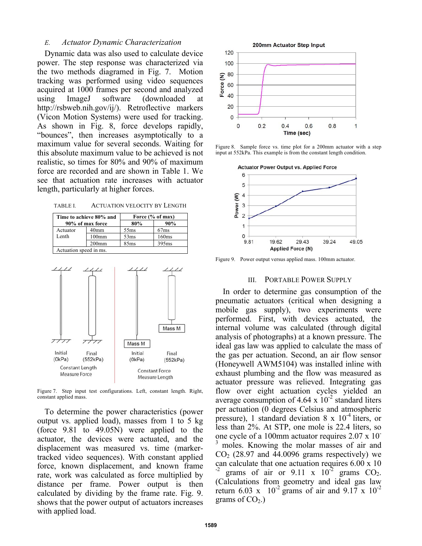# *E. Actuator Dynamic Characterization*

Dynamic data was also used to calculate device power. The step response was characterized via the two methods diagramed in Fig. 7. Motion tracking was performed using video sequences acquired at 1000 frames per second and analyzed using ImageJ software (downloaded at http://rsbweb.nih.gov/ij/). Retroflective markers (Vicon Motion Systems) were used for tracking. As shown in Fig. 8, force develops rapidly, "bounces", then increases asymptotically to a maximum value for several seconds. Waiting for this absolute maximum value to be achieved is not realistic, so times for 80% and 90% of maximum force are recorded and are shown in Table 1. We see that actuation rate increases with actuator length, particularly at higher forces.

TABLE I. ACTUATION VELOCITY BY LENGTH

| Time to achieve 80% and<br>90% of max force |                  | Force (% of max) |       |  |  |
|---------------------------------------------|------------------|------------------|-------|--|--|
|                                             |                  | 80%              | 90%   |  |  |
| Actuator                                    | 40 <sub>mm</sub> | 55ms             | 67ms  |  |  |
| Lenth                                       | $100$ mm         | 53ms             | 160ms |  |  |
|                                             | $200$ mm         | 85ms             | 395ms |  |  |
| Actuation speed in ms.                      |                  |                  |       |  |  |



Figure 7. Step input test configurations. Left, constant length. Right, constant applied mass.

To determine the power characteristics (power output vs. applied load), masses from 1 to 5 kg (force 9.81 to 49.05N) were applied to the actuator, the devices were actuated, and the displacement was measured vs. time (markertracked video sequences). With constant applied force, known displacement, and known frame rate, work was calculated as force multiplied by distance per frame. Power output is then calculated by dividing by the frame rate. Fig. 9. shows that the power output of actuators increases with applied load.



Figure 8. Sample force vs. time plot for a 200mm actuator with a step input at 552kPa. This example is from the constant length condition.



Figure 9. Power output versus applied mass. 100mm actuator.

#### III. PORTABLE POWER SUPPLY

In order to determine gas consumption of the pneumatic actuators (critical when designing a mobile gas supply), two experiments were performed. First, with devices actuated, the internal volume was calculated (through digital analysis of photographs) at a known pressure. The ideal gas law was applied to calculate the mass of the gas per actuation. Second, an air flow sensor (Honeywell AWM5104) was installed inline with exhaust plumbing and the flow was measured as actuator pressure was relieved. Integrating gas flow over eight actuation cycles yielded an average consumption of 4.64 x  $10^{-2}$  standard liters per actuation (0 degrees Celsius and atmospheric pressure), 1 standard deviation 8 x  $10^{-4}$  liters, or less than 2%. At STP, one mole is 22.4 liters, so one cycle of a 100mm actuator requires 2.07 x 10 moles. Knowing the molar masses of air and  $CO<sub>2</sub>$  (28.97 and 44.0096 grams respectively) we can calculate that one actuation requires  $6.00 \times 10^{-2}$  grams of air or  $9.11 \times 10^{-2}$  grams CO<sub>2</sub>. (Calculations from geometry and ideal gas law return 6.03 x  $10^{-2}$  grams of air and 9.17 x  $10^{-2}$ grams of  $CO<sub>2</sub>$ .)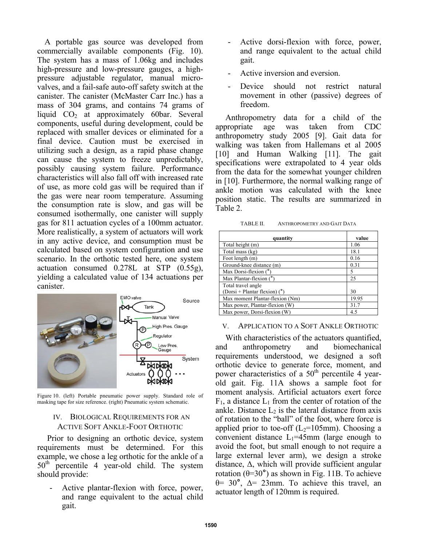A portable gas source was developed from commercially available components (Fig. 10). The system has a mass of 1.06kg and includes high-pressure and low-pressure gauges, a highpressure adjustable regulator, manual microvalves, and a fail-safe auto-off safety switch at the canister. The canister (McMaster Carr Inc.) has a mass of 304 grams, and contains 74 grams of liquid  $CO<sub>2</sub>$  at approximately 60bar. Several components, useful during development, could be replaced with smaller devices or eliminated for a final device. Caution must be exercised in utilizing such a design, as a rapid phase change can cause the system to freeze unpredictably, possibly causing system failure. Performance characteristics will also fall off with increased rate of use, as more cold gas will be required than if the gas were near room temperature. Assuming the consumption rate is slow, and gas will be consumed isothermally, one canister will supply gas for 811 actuation cycles of a 100mm actuator. More realistically, a system of actuators will work in any active device, and consumption must be calculated based on system configuration and use scenario. In the orthotic tested here, one system actuation consumed 0.278L at STP (0.55g), yielding a calculated value of 134 actuations per canister.



Figure 10. (left) Portable pneumatic power supply. Standard role of masking tape for size reference. (right) Pneumatic system schematic.

## IV. BIOLOGICAL REQUIREMENTS FOR AN ACTIVE SOFT ANKLE-FOOT ORTHOTIC

Prior to designing an orthotic device, system requirements must be determined. For this example, we chose a leg orthotic for the ankle of a 50<sup>th</sup> percentile 4 year-old child. The system should provide:

Active plantar-flexion with force, power, and range equivalent to the actual child gait.

- Active dorsi-flexion with force, power, and range equivalent to the actual child gait.
- Active inversion and eversion.
- Device should not restrict natural movement in other (passive) degrees of freedom.

Anthropometry data for a child of the appropriate age was taken from CDC anthropometry study 2005 [9]. Gait data for walking was taken from Hallemans et al 2005 [10] and Human Walking [11]. The gait specifications were extrapolated to 4 year olds from the data for the somewhat younger children in [10]. Furthermore, the normal walking range of ankle motion was calculated with the knee position static. The results are summarized in Table 2.

| TABLE II. | ANTHROPOMETRY AND GAIT DATA |  |
|-----------|-----------------------------|--|
|           |                             |  |

| quantity                        | value |
|---------------------------------|-------|
| Total height (m)                | 1.06  |
| Total mass (kg)                 | 18.1  |
| Foot length (m)                 | 0.16  |
| Ground-knee distance (m)        | 0.31  |
| Max Dorsi-flexion $(°)$         | 5     |
| Max Plantar-flexion $(°)$       | 25    |
| Total travel angle              |       |
| (Dorsi + Plantar flexion) $(°)$ | 30    |
| Max moment Plantar-flexion (Nm) | 19.95 |
| Max power, Plantar-flexion (W)  | 31.7  |
| Max power, Dorsi-flexion (W)    | 4.5   |

## V. APPLICATION TO A SOFT ANKLE ORTHOTIC

With characteristics of the actuators quantified, and anthropometry and biomechanical requirements understood, we designed a soft orthotic device to generate force, moment, and power characteristics of a  $50<sup>th</sup>$  percentile 4 yearold gait. Fig. 11A shows a sample foot for moment analysis. Artificial actuators exert force  $F_1$ , a distance  $L_1$  from the center of rotation of the ankle. Distance  $L_2$  is the lateral distance from axis of rotation to the "ball" of the foot, where force is applied prior to toe-off  $(L_2=105$ mm). Choosing a convenient distance  $L_1=45$ mm (large enough to avoid the foot, but small enough to not require a large external lever arm), we design a stroke distance,  $\Delta$ , which will provide sufficient angular rotation  $(\theta=30^{\circ})$  as shown in Fig. 11B. To achieve θ= 30**°**, Δ= 23mm. To achieve this travel, an actuator length of 120mm is required.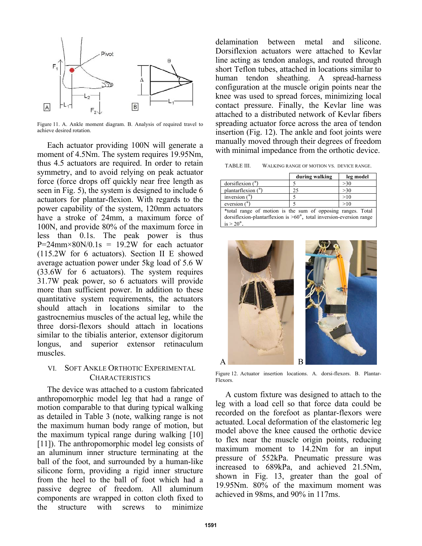

Figure 11. A. Ankle moment diagram. B. Analysis of required travel to achieve desired rotation.

Each actuator providing 100N will generate a moment of 4.5Nm. The system requires 19.95Nm, thus 4.5 actuators are required. In order to retain symmetry, and to avoid relying on peak actuator force (force drops off quickly near free length as seen in Fig. 5), the system is designed to include 6 actuators for plantar-flexion. With regards to the power capability of the system, 120mm actuators have a stroke of 24mm, a maximum force of 100N, and provide 80% of the maximum force in less than 0.1s. The peak power is thus  $P=24$ mm×80N/0.1s = 19.2W for each actuator (115.2W for 6 actuators). Section II E showed average actuation power under 5kg load of 5.6 W (33.6W for 6 actuators). The system requires 31.7W peak power, so 6 actuators will provide more than sufficient power. In addition to these quantitative system requirements, the actuators should attach in locations similar to the gastrocnemius muscles of the actual leg, while the three dorsi-flexors should attach in locations similar to the tibialis anterior, extensor digitorum longus, and superior extensor retinaculum muscles.

# VI. SOFT ANKLE ORTHOTIC EXPERIMENTAL **CHARACTERISTICS**

The device was attached to a custom fabricated anthropomorphic model leg that had a range of motion comparable to that during typical walking as detailed in Table 3 (note, walking range is not the maximum human body range of motion, but the maximum typical range during walking [10] [11]). The anthropomorphic model leg consists of an aluminum inner structure terminating at the ball of the foot, and surrounded by a human-like silicone form, providing a rigid inner structure from the heel to the ball of foot which had a passive degree of freedom. All aluminum components are wrapped in cotton cloth fixed to the structure with screws to minimize

delamination between metal and silicone. Dorsiflexion actuators were attached to Kevlar line acting as tendon analogs, and routed through short Teflon tubes, attached in locations similar to human tendon sheathing. A spread-harness configuration at the muscle origin points near the knee was used to spread forces, minimizing local contact pressure. Finally, the Kevlar line was attached to a distributed network of Kevlar fibers spreading actuator force across the area of tendon insertion (Fig. 12). The ankle and foot joints were manually moved through their degrees of freedom with minimal impedance from the orthotic device.

TABLE III. WALKING RANGE OF MOTION VS. DEVICE RANGE.

|                           | during walking | leg model |
|---------------------------|----------------|-----------|
| dorsiflexion <sup>°</sup> |                | >30       |
| plantarflexion (°)        |                | >30       |
| inversion $(°)$           |                | >10       |
| eversion (°               |                |           |

\*total range of motion is the sum of opposing ranges. Total dorsiflexion-plantarflexion is >60°, total inversion-eversion range  $is > 20^\circ$ .



Figure 12. Actuator insertion locations. A. dorsi-flexors. B. Plantar-Flexors.

A custom fixture was designed to attach to the leg with a load cell so that force data could be recorded on the forefoot as plantar-flexors were actuated. Local deformation of the elastomeric leg model above the knee caused the orthotic device to flex near the muscle origin points, reducing maximum moment to 14.2Nm for an input pressure of 552kPa. Pneumatic pressure was increased to 689kPa, and achieved 21.5Nm, shown in Fig. 13, greater than the goal of 19.95Nm. 80% of the maximum moment was achieved in 98ms, and 90% in 117ms.